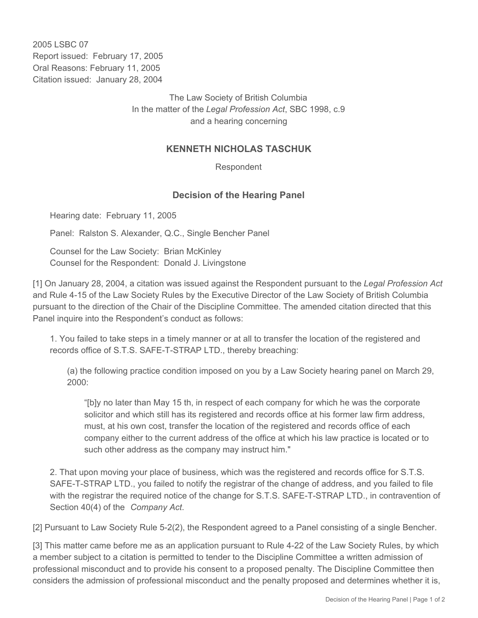2005 LSBC 07 Report issued: February 17, 2005 Oral Reasons: February 11, 2005 Citation issued: January 28, 2004

> The Law Society of British Columbia In the matter of the *Legal Profession Act*, SBC 1998, c.9 and a hearing concerning

## **KENNETH NICHOLAS TASCHUK**

Respondent

## **Decision of the Hearing Panel**

Hearing date: February 11, 2005

Panel: Ralston S. Alexander, Q.C., Single Bencher Panel

Counsel for the Law Society: Brian McKinley Counsel for the Respondent: Donald J. Livingstone

[1] On January 28, 2004, a citation was issued against the Respondent pursuant to the *Legal Profession Act* and Rule 4-15 of the Law Society Rules by the Executive Director of the Law Society of British Columbia pursuant to the direction of the Chair of the Discipline Committee. The amended citation directed that this Panel inquire into the Respondent's conduct as follows:

1. You failed to take steps in a timely manner or at all to transfer the location of the registered and records office of S.T.S. SAFE-T-STRAP LTD., thereby breaching:

(a) the following practice condition imposed on you by a Law Society hearing panel on March 29, 2000:

"[b]y no later than May 15 th, in respect of each company for which he was the corporate solicitor and which still has its registered and records office at his former law firm address, must, at his own cost, transfer the location of the registered and records office of each company either to the current address of the office at which his law practice is located or to such other address as the company may instruct him."

2. That upon moving your place of business, which was the registered and records office for S.T.S. SAFE-T-STRAP LTD., you failed to notify the registrar of the change of address, and you failed to file with the registrar the required notice of the change for S.T.S. SAFE-T-STRAP LTD., in contravention of Section 40(4) of the *Company Act*.

[2] Pursuant to Law Society Rule 5-2(2), the Respondent agreed to a Panel consisting of a single Bencher.

[3] This matter came before me as an application pursuant to Rule 4-22 of the Law Society Rules, by which a member subject to a citation is permitted to tender to the Discipline Committee a written admission of professional misconduct and to provide his consent to a proposed penalty. The Discipline Committee then considers the admission of professional misconduct and the penalty proposed and determines whether it is,